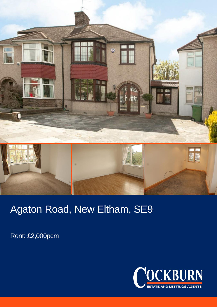

## Agaton Road, New Eltham, SE9

Rent: £2,000pcm

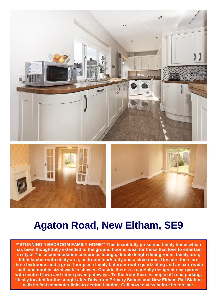

## **Agaton Road, New Eltham, SE9**

**\*\*STUNNING 4 BEDROOM FAMILY HOME\*\* This beautifully presented family home which has been thoughtfully extended to the ground floor is ideal for those that love to entertain in style! The accommodation comprises lounge, double length dining room, family area, fitted kitchen with utility area, bedroom four/study and a cloakroom. Upstairs there are three bedrooms and a great four piece family bathroom with quartz tiling and an extra wide bath and double sized walk in shower. Outside there is a carefully designed rear garden with centred lawn and stone paved pathways. To the front there is ample off road parking. Ideally located for the sought after Dulverton Primary School and New Eltham Rail Station with its fast commuter links to central London. Call now to view before its too late.**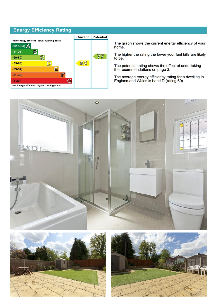## **Energy Efficiency Rating**



The graph shows the current energy efficiency of your home.

The higher the rating the lower your fuel bills are likely to be.

The potential rating shows the effect of undertaking the recommendations on page 3.

The average energy efficiency rating for a dwelling in<br>England and Wales is band D (rating 60).